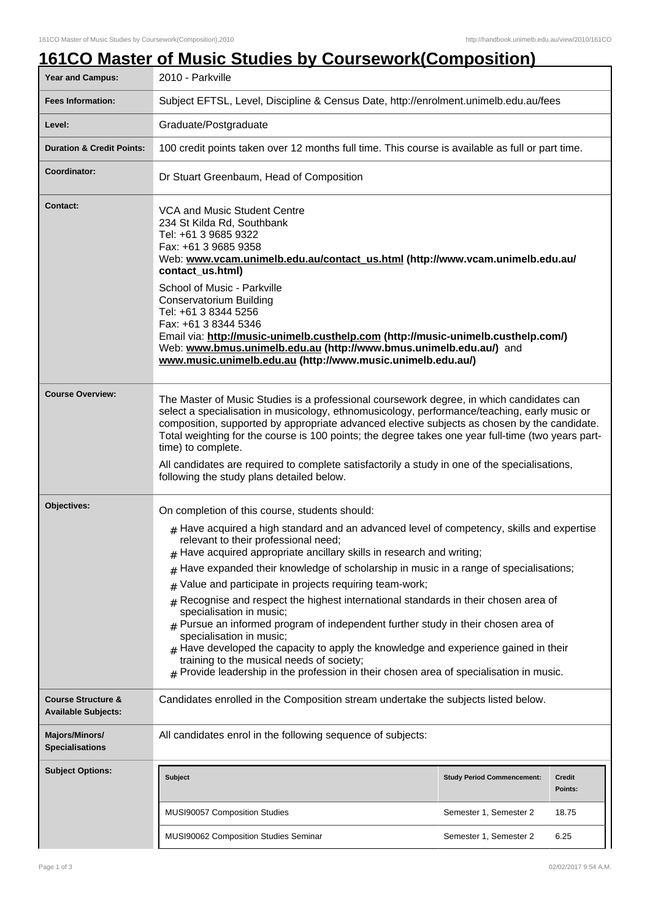|                                                             | <u>161CO Master of Music Studies by Coursework(Composition)</u>                                                                                                                                                                                                                                                                                                                                                                                                                                                                                                                                                                                                                                                                                                                                                                                                                                      |                                   |                          |
|-------------------------------------------------------------|------------------------------------------------------------------------------------------------------------------------------------------------------------------------------------------------------------------------------------------------------------------------------------------------------------------------------------------------------------------------------------------------------------------------------------------------------------------------------------------------------------------------------------------------------------------------------------------------------------------------------------------------------------------------------------------------------------------------------------------------------------------------------------------------------------------------------------------------------------------------------------------------------|-----------------------------------|--------------------------|
| Year and Campus:                                            | 2010 - Parkville                                                                                                                                                                                                                                                                                                                                                                                                                                                                                                                                                                                                                                                                                                                                                                                                                                                                                     |                                   |                          |
| <b>Fees Information:</b>                                    | Subject EFTSL, Level, Discipline & Census Date, http://enrolment.unimelb.edu.au/fees                                                                                                                                                                                                                                                                                                                                                                                                                                                                                                                                                                                                                                                                                                                                                                                                                 |                                   |                          |
| Level:                                                      | Graduate/Postgraduate                                                                                                                                                                                                                                                                                                                                                                                                                                                                                                                                                                                                                                                                                                                                                                                                                                                                                |                                   |                          |
| <b>Duration &amp; Credit Points:</b>                        | 100 credit points taken over 12 months full time. This course is available as full or part time.                                                                                                                                                                                                                                                                                                                                                                                                                                                                                                                                                                                                                                                                                                                                                                                                     |                                   |                          |
| Coordinator:                                                | Dr Stuart Greenbaum, Head of Composition                                                                                                                                                                                                                                                                                                                                                                                                                                                                                                                                                                                                                                                                                                                                                                                                                                                             |                                   |                          |
| <b>Contact:</b>                                             | VCA and Music Student Centre<br>234 St Kilda Rd, Southbank<br>Tel: +61 3 9685 9322<br>Fax: +61 3 9685 9358<br>Web: www.vcam.unimelb.edu.au/contact_us.html (http://www.vcam.unimelb.edu.au/<br>contact us.html)<br>School of Music - Parkville<br><b>Conservatorium Building</b><br>Tel: +61 3 8344 5256<br>Fax: +61 3 8344 5346<br>Email via: http://music-unimelb.custhelp.com (http://music-unimelb.custhelp.com/)<br>Web: www.bmus.unimelb.edu.au (http://www.bmus.unimelb.edu.au/) and<br>www.music.unimelb.edu.au (http://www.music.unimelb.edu.au/)                                                                                                                                                                                                                                                                                                                                           |                                   |                          |
| <b>Course Overview:</b>                                     | The Master of Music Studies is a professional coursework degree, in which candidates can<br>select a specialisation in musicology, ethnomusicology, performance/teaching, early music or<br>composition, supported by appropriate advanced elective subjects as chosen by the candidate.<br>Total weighting for the course is 100 points; the degree takes one year full-time (two years part-<br>time) to complete.<br>All candidates are required to complete satisfactorily a study in one of the specialisations,<br>following the study plans detailed below.                                                                                                                                                                                                                                                                                                                                   |                                   |                          |
| Objectives:                                                 | On completion of this course, students should:<br>$#$ Have acquired a high standard and an advanced level of competency, skills and expertise<br>relevant to their professional need;<br>Have acquired appropriate ancillary skills in research and writing;<br>Have expanded their knowledge of scholarship in music in a range of specialisations;<br>#<br>Value and participate in projects requiring team-work;<br>#<br>Recognise and respect the highest international standards in their chosen area of<br>#<br>specialisation in music;<br>$#$ Pursue an informed program of independent further study in their chosen area of<br>specialisation in music;<br>$#$ Have developed the capacity to apply the knowledge and experience gained in their<br>training to the musical needs of society;<br>$#$ Provide leadership in the profession in their chosen area of specialisation in music. |                                   |                          |
| <b>Course Structure &amp;</b><br><b>Available Subjects:</b> | Candidates enrolled in the Composition stream undertake the subjects listed below.                                                                                                                                                                                                                                                                                                                                                                                                                                                                                                                                                                                                                                                                                                                                                                                                                   |                                   |                          |
| <b>Majors/Minors/</b><br><b>Specialisations</b>             | All candidates enrol in the following sequence of subjects:                                                                                                                                                                                                                                                                                                                                                                                                                                                                                                                                                                                                                                                                                                                                                                                                                                          |                                   |                          |
| <b>Subject Options:</b>                                     | <b>Subject</b>                                                                                                                                                                                                                                                                                                                                                                                                                                                                                                                                                                                                                                                                                                                                                                                                                                                                                       | <b>Study Period Commencement:</b> | <b>Credit</b><br>Points: |
|                                                             | MUSI90057 Composition Studies                                                                                                                                                                                                                                                                                                                                                                                                                                                                                                                                                                                                                                                                                                                                                                                                                                                                        | Semester 1, Semester 2            | 18.75                    |
|                                                             | MUSI90062 Composition Studies Seminar                                                                                                                                                                                                                                                                                                                                                                                                                                                                                                                                                                                                                                                                                                                                                                                                                                                                | Semester 1, Semester 2            | 6.25                     |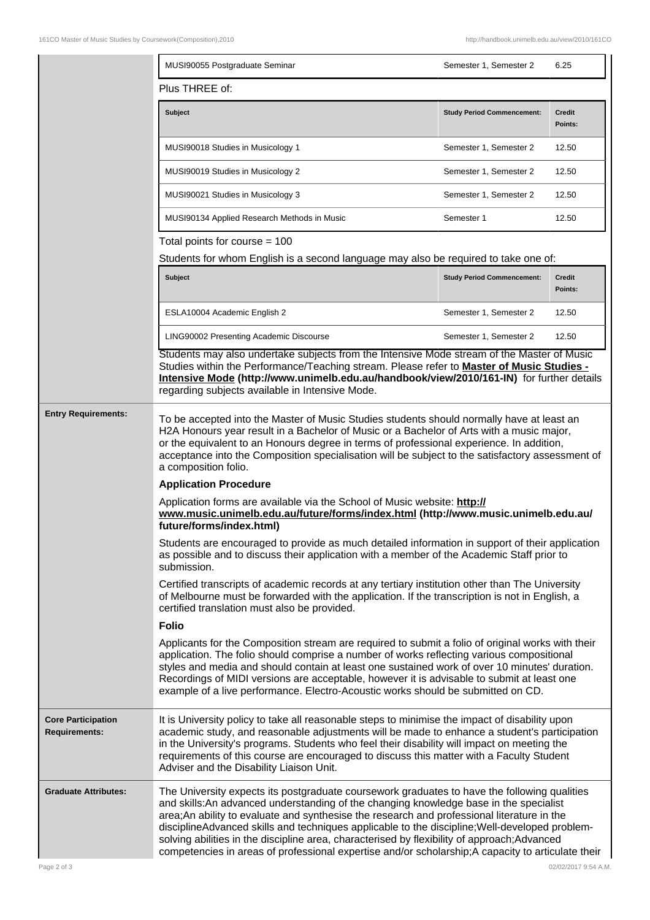|                                                   | MUSI90055 Postgraduate Seminar                                                                                                                                                                                                                                                                                                                                                                                                                                                                                                                                                                | Semester 1, Semester 2            | 6.25              |  |  |
|---------------------------------------------------|-----------------------------------------------------------------------------------------------------------------------------------------------------------------------------------------------------------------------------------------------------------------------------------------------------------------------------------------------------------------------------------------------------------------------------------------------------------------------------------------------------------------------------------------------------------------------------------------------|-----------------------------------|-------------------|--|--|
|                                                   | Plus THREE of:                                                                                                                                                                                                                                                                                                                                                                                                                                                                                                                                                                                |                                   |                   |  |  |
|                                                   | <b>Subject</b>                                                                                                                                                                                                                                                                                                                                                                                                                                                                                                                                                                                | <b>Study Period Commencement:</b> | Credit<br>Points: |  |  |
|                                                   | MUSI90018 Studies in Musicology 1                                                                                                                                                                                                                                                                                                                                                                                                                                                                                                                                                             | Semester 1, Semester 2            | 12.50             |  |  |
|                                                   | MUSI90019 Studies in Musicology 2                                                                                                                                                                                                                                                                                                                                                                                                                                                                                                                                                             | Semester 1, Semester 2            | 12.50             |  |  |
|                                                   | MUSI90021 Studies in Musicology 3                                                                                                                                                                                                                                                                                                                                                                                                                                                                                                                                                             | Semester 1, Semester 2            | 12.50             |  |  |
|                                                   | MUSI90134 Applied Research Methods in Music                                                                                                                                                                                                                                                                                                                                                                                                                                                                                                                                                   | Semester 1                        | 12.50             |  |  |
|                                                   | Total points for course $=$ 100                                                                                                                                                                                                                                                                                                                                                                                                                                                                                                                                                               |                                   |                   |  |  |
|                                                   | Students for whom English is a second language may also be required to take one of:                                                                                                                                                                                                                                                                                                                                                                                                                                                                                                           |                                   |                   |  |  |
|                                                   | Subject                                                                                                                                                                                                                                                                                                                                                                                                                                                                                                                                                                                       | <b>Study Period Commencement:</b> | Credit<br>Points: |  |  |
|                                                   | ESLA10004 Academic English 2                                                                                                                                                                                                                                                                                                                                                                                                                                                                                                                                                                  | Semester 1, Semester 2            | 12.50             |  |  |
|                                                   | LING90002 Presenting Academic Discourse                                                                                                                                                                                                                                                                                                                                                                                                                                                                                                                                                       | Semester 1, Semester 2            | 12.50             |  |  |
|                                                   | Students may also undertake subjects from the Intensive Mode stream of the Master of Music<br>Studies within the Performance/Teaching stream. Please refer to <b>Master of Music Studies -</b><br>Intensive Mode (http://www.unimelb.edu.au/handbook/view/2010/161-IN) for further details<br>regarding subjects available in Intensive Mode.                                                                                                                                                                                                                                                 |                                   |                   |  |  |
| <b>Entry Requirements:</b>                        | To be accepted into the Master of Music Studies students should normally have at least an<br>H2A Honours year result in a Bachelor of Music or a Bachelor of Arts with a music major,<br>or the equivalent to an Honours degree in terms of professional experience. In addition,<br>acceptance into the Composition specialisation will be subject to the satisfactory assessment of<br>a composition folio.                                                                                                                                                                                 |                                   |                   |  |  |
|                                                   | <b>Application Procedure</b>                                                                                                                                                                                                                                                                                                                                                                                                                                                                                                                                                                  |                                   |                   |  |  |
|                                                   | Application forms are available via the School of Music website: http://<br>www.music.unimelb.edu.au/future/forms/index.html (http://www.music.unimelb.edu.au/<br>future/forms/index.html)                                                                                                                                                                                                                                                                                                                                                                                                    |                                   |                   |  |  |
|                                                   | Students are encouraged to provide as much detailed information in support of their application<br>as possible and to discuss their application with a member of the Academic Staff prior to<br>submission.                                                                                                                                                                                                                                                                                                                                                                                   |                                   |                   |  |  |
|                                                   | Certified transcripts of academic records at any tertiary institution other than The University<br>of Melbourne must be forwarded with the application. If the transcription is not in English, a<br>certified translation must also be provided.                                                                                                                                                                                                                                                                                                                                             |                                   |                   |  |  |
|                                                   | <b>Folio</b>                                                                                                                                                                                                                                                                                                                                                                                                                                                                                                                                                                                  |                                   |                   |  |  |
|                                                   | Applicants for the Composition stream are required to submit a folio of original works with their<br>application. The folio should comprise a number of works reflecting various compositional<br>styles and media and should contain at least one sustained work of over 10 minutes' duration.<br>Recordings of MIDI versions are acceptable, however it is advisable to submit at least one<br>example of a live performance. Electro-Acoustic works should be submitted on CD.                                                                                                             |                                   |                   |  |  |
| <b>Core Participation</b><br><b>Requirements:</b> | It is University policy to take all reasonable steps to minimise the impact of disability upon<br>academic study, and reasonable adjustments will be made to enhance a student's participation<br>in the University's programs. Students who feel their disability will impact on meeting the<br>requirements of this course are encouraged to discuss this matter with a Faculty Student<br>Adviser and the Disability Liaison Unit.                                                                                                                                                         |                                   |                   |  |  |
| <b>Graduate Attributes:</b>                       | The University expects its postgraduate coursework graduates to have the following qualities<br>and skills: An advanced understanding of the changing knowledge base in the specialist<br>area; An ability to evaluate and synthesise the research and professional literature in the<br>disciplineAdvanced skills and techniques applicable to the discipline; Well-developed problem-<br>solving abilities in the discipline area, characterised by flexibility of approach; Advanced<br>competencies in areas of professional expertise and/or scholarship; A capacity to articulate their |                                   |                   |  |  |